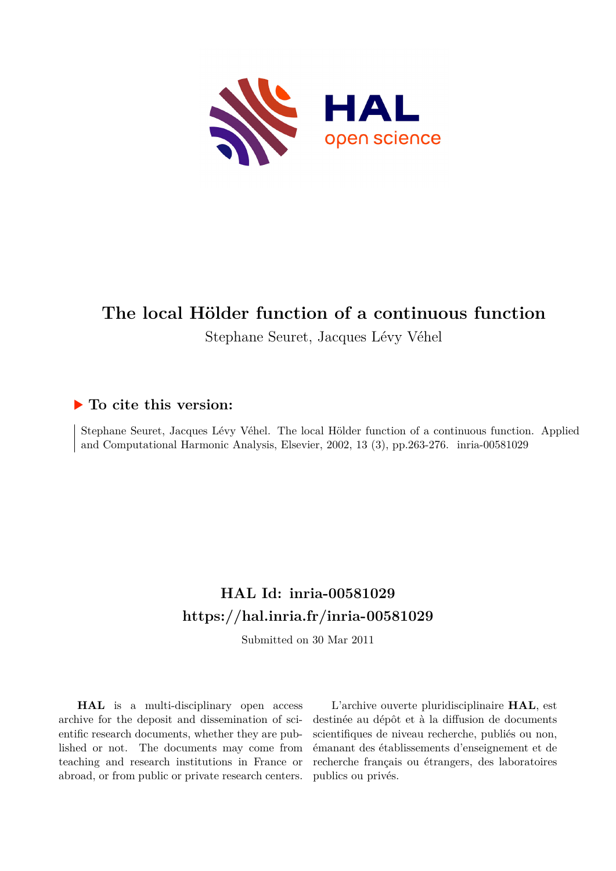

# **The local Hölder function of a continuous function**

Stephane Seuret, Jacques Lévy Véhel

### **To cite this version:**

Stephane Seuret, Jacques Lévy Véhel. The local Hölder function of a continuous function. Applied and Computational Harmonic Analysis, Elsevier, 2002, 13 (3), pp.263-276. inria-00581029

# **HAL Id: inria-00581029 <https://hal.inria.fr/inria-00581029>**

Submitted on 30 Mar 2011

**HAL** is a multi-disciplinary open access archive for the deposit and dissemination of scientific research documents, whether they are published or not. The documents may come from teaching and research institutions in France or abroad, or from public or private research centers.

L'archive ouverte pluridisciplinaire **HAL**, est destinée au dépôt et à la diffusion de documents scientifiques de niveau recherche, publiés ou non, émanant des établissements d'enseignement et de recherche français ou étrangers, des laboratoires publics ou privés.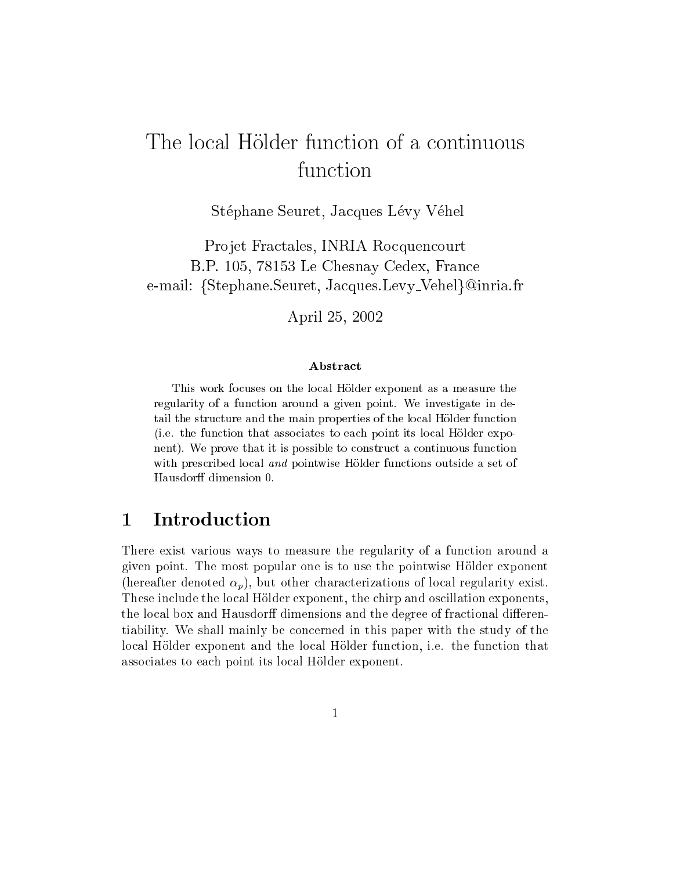# The local Hölder function of a continuous function

Stéphane Seuret, Jacques Lévy Véhel

Projet Fractales, INRIA Rocquencourt B.P. 105, 78153 Le Chesnay Cedex, Fran
e e-mail: {Stephane.Seuret, Jacques.Levy\_Vehel}@inria.fr

April 25, 2002

### **Abstract**

This work focuses on the local Hölder exponent as a measure the regularity of a function around a given point. We investigate in detail the structure and the main properties of the local Hölder function (i.e. the function that associates to each point its local Hölder exponent). We prove that it is possible to construct a continuous function with prescribed local and pointwise Hölder functions outside a set of Hausdorff dimension 0.

## 1 Introduction

There exist various ways to measure the regularity of a fun
tion around a given point. The most popular one is to use the pointwise Holder exponent (hereafter denoted  $\alpha_p$ ), but other characterizations of local regularity exist. These include the local Hölder exponent, the chirp and oscillation exponents, the local box and Hausdorff dimensions and the degree of fractional differentiability. We shall mainly be on
erned in this paper with the study of the local Hölder exponent and the local Hölder function, *i.e.* the function that asso
iates to ea
h point its lo
al Holder exponent.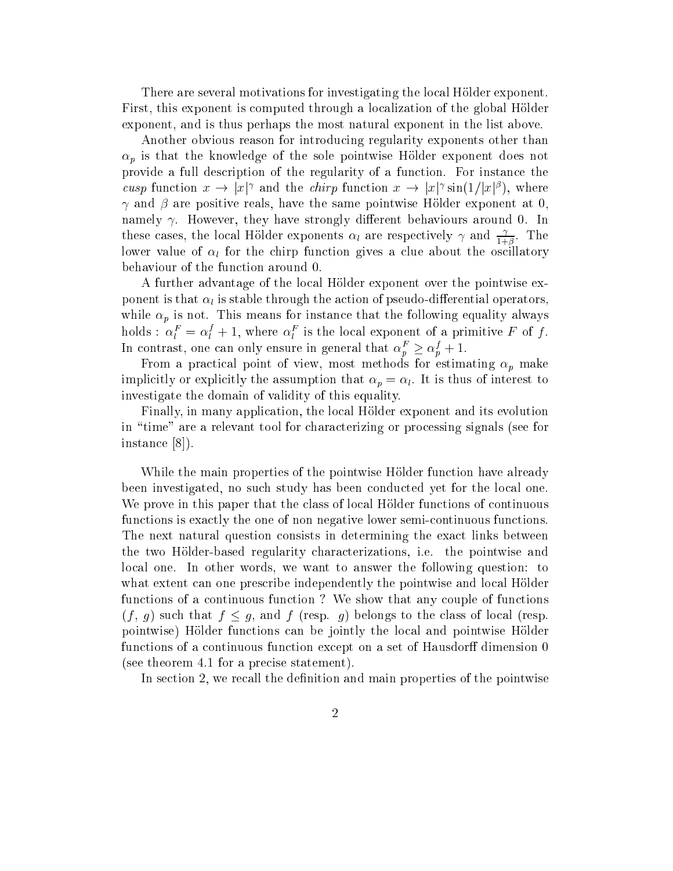There are several motivations for investigating the local Hölder exponent. First, this exponent is computed through a localization of the global Hölder exponent, and is thus perhaps the most natural exponent in the list above.

Another obvious reason for introdu
ing regularity exponents other than  $\rho$  is that the model that  $\rho$  is the sole pointwise Holder exponent does not not provide a full description of the regularity of a function. For instance the cusp function  $x \to |x|$  and the chirp function  $x \to |x|$  sin(1/|x|f|, where and are positive reals, have the same that the same points at the same point  $\alpha$  ,  $\alpha$ namely  $\gamma$ . However, they have strongly different behaviours around 0. In these cases, the local Holder exponents  $\alpha_l$  are respectively  $\gamma$  and  $\frac{1}{1+\beta}$ . The  $-1$ lower value of life the complete about the original materials are completely behaviour of the fun
tion around 0.

A further advantage of the local Hölder exponent over the pointwise exponent is the tion of the attrice the addressed through the algebra the and the contract of particles is while p is not. This means for instance the following equality always always always always always always always a holds :  $\alpha_l^{\mu} = \alpha_l^{\mu} + 1$ , where  $\alpha_l^{\mu}$  is the local exponent of a primitive F of f. In contrast, one can only ensure in general that  $\alpha_p^F \geq \alpha_p^f + 1$ .

From a pra
ti
al point of view, most methods for estimating p make itles it is the assumption that the assumption that problem the assumption that the component to the contract t investigate the domain of validity of this equality.

Finally, in many application, the local Hölder exponent and its evolution in "time" are a relevant tool for characterizing or processing signals (see for instance  $[8]$ .

While the main properties of the pointwise Hölder function have already been investigated, no su
h study has been ondu
ted yet for the lo
al one. We prove in this paper that the class of local Hölder functions of continuous functions is exactly the one of non negative lower semi-continuous functions. The next natural question onsists in determining the exa
t links between the two Holder-based regularity hara
terizations, i.e. the pointwise and lo
al one. In other words, we want to answer the following question: to what extent can one prescribe independently the pointwise and local Hölder functions of a continuous function? We show that any couple of functions  $(f, g)$  such that  $f \leq g$ , and f (resp. g) belongs to the class of local (resp. pointwise) Hölder functions can be jointly the local and pointwise Hölder functions of a continuous function except on a set of Hausdorff dimension 0 (see theorem 4.1 for a pre
ise statement).

In section 2, we recall the definition and main properties of the pointwise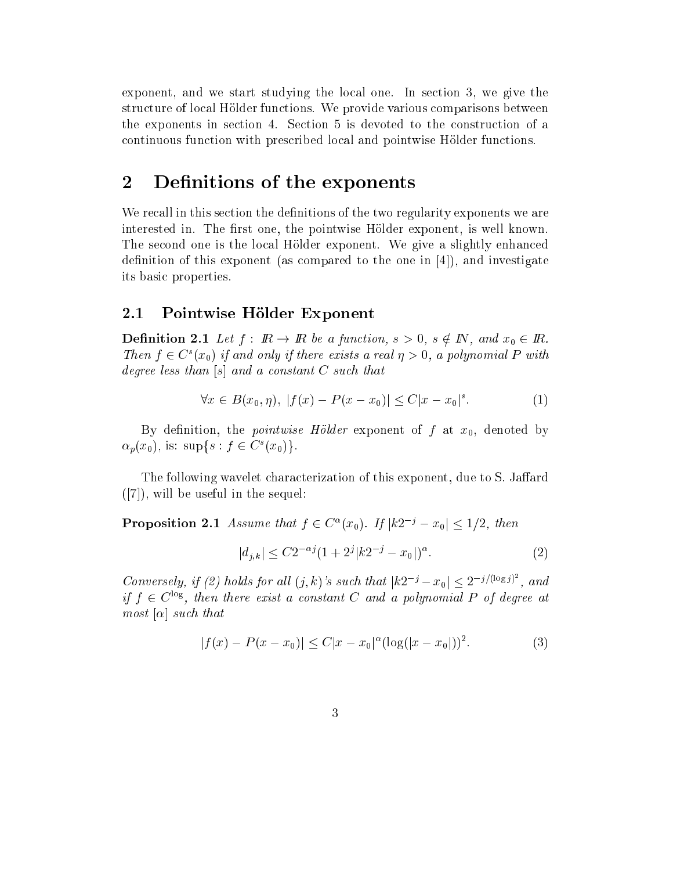exponent, and we start studying the local one. In section 3, we give the structure of local Hölder functions. We provide various comparisons between the exponents in se
tion 4. Se
tion 5 is devoted to the onstru
tion of a ontinuous fun
tion with pres
ribed lo
al and pointwise Holder fun
tions.

#### $\overline{2}$ Definitions of the exponents

We recall in this section the definitions of the two regularity exponents we are interested in. The first one, the pointwise Hölder exponent, is well known. The second one is the local Hölder exponent. We give a slightly enhanced definition of this exponent (as compared to the one in  $[4]$ ), and investigate its basi properties.

#### 2.1Pointwise Hölder Exponent

Decrease 2.1 Decrease 2.1 Let f : IR be a function, s  $\alpha$  ,  $\beta$  , see IR. Be a function,  $\alpha$ Then  $f \in C^1(x_0)$  if and only if there exists a real  $\eta > 0$ , a polynomial P with degree less than  $[s]$  and a constant C such that

$$
\forall x \in B(x_0, \eta), \ |f(x) - P(x - x_0)| \le C|x - x_0|^s. \tag{1}
$$

By definition, the *pointwise Hölder* exponent of f at  $x_0$ , denoted by  $\alpha_p(x_0)$ , is: supset  $j \in \mathbb{C}$  ( $x_0$ ).

The following wavelet characterization of this exponent, due to S. Jaffard  $([7])$ , will be useful in the sequel:

**Proposition 2.1** Assume that  $f \in C^-(x_0)$ . If  $\vert \kappa Z \vert^2 = x_0 \vert \leq 1/2$ , then

$$
|d_{j,k}| \le C2^{-\alpha j} (1 + 2^j |k2^{-j} - x_0|)^{\alpha}.
$$
 (2)

Conversely, if (2) holds for all  $(j, k)$ 's such that  $|k2^{-j} - x_0| \leq 2^{-j/(\log j)^2}$ , and  $y \mid t \in C$   $^{\circ}$ , then there exist a constant  $C$  and a polynomial  $P$  of degree at  $most \alpha$  such that

$$
|f(x) - P(x - x_0)| \le C|x - x_0|^{\alpha} (\log(|x - x_0|))^2.
$$
 (3)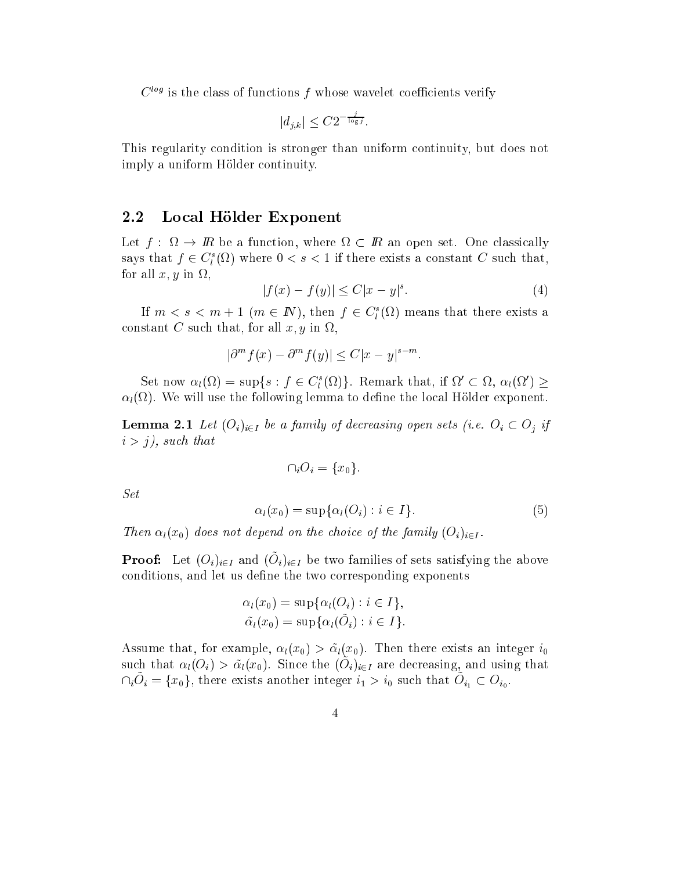$C_{\alpha\beta}$  is the class of functions T whose wavelet coefficients verify

$$
|d_{j,k}| \leq C2^{-\frac{j}{\log j}}.
$$

This regularity ondition is stronger than uniform ontinuity, but does not imply a uniform Hölder continuity.

#### 2.2Local Hölder Exponent

ally into the angles of the function of the contract of the set of the set of the set of the set of the set of says that  $f \in C_l^{\tau}(\Omega)$  where  $0 \leq s \leq 1$  if there exists a constant  $C$  such that,  $f(x) = f(x)$  in all  $f(x) = f(x)$  in a set  $f(x)$ 

$$
|f(x) - f(y)| \le C|x - y|^s. \tag{4}
$$

If  $m < s < m + 1$  ( $m \in I$ ), then  $J \in C_l$  (12) means that there exists a , that, there is a state that, for all  $\alpha$  in  $\beta$  is a state

$$
|\partial^m f(x) - \partial^m f(y)| \le C|x - y|^{s - m}.
$$

Set now  $\alpha_l(x_l) = \sup\{s : j \in C_l(x_l)\}\.$  Remark that, if  $\alpha_l(x_l) \leq \alpha_l(x_l)$ lat  $\mathcal{U}$  will use the following lemma to define the following lemma to define the local definition of  $\mathcal{U}$ 

**Lemma 2.1** Let  $(O_i)_{i \in I}$  be a family of decreasing open sets (i.e.  $O_i \subset O_j$  if i <sup>&</sup>gt; j), su
h that

$$
\cap_i O_i = \{x_0\}.
$$

Set

$$
\alpha_l(x_0) = \sup \{ \alpha_l(O_i) : i \in I \}.
$$
\n<sup>(5)</sup>

Then  $\alpha_l(x_0)$  does not depend on the choice of the family  $(O_i)_{i\in I}$ .

**I** TOOI. Let  $(U_i)_{i\in I}$  and  $(U_i)_{i\in I}$  be two families of sets satisfying the above conditions, and let us define the two corresponding exponents

$$
\alpha_l(x_0) = \sup \{ \alpha_l(O_i) : i \in I \},
$$
  
\n
$$
\tilde{\alpha_l}(x_0) = \sup \{ \alpha_l(\tilde{O}_i) : i \in I \}.
$$

Assume that, for example, let  $\mathbf{r}$  be exists an integer integer integer integer in integer in integer in such that  $a_l(U_i) > a_l(u_l)$ . Since the  $(U_i)_{i \in I}$  are decreasing, and using that  $\prod_i\cup_i = \{x_0\}$ , there exists another integer  $i_1 > i_0$  such that  $\bigcup_{i_1} \subset \bigcup_{i_0}$ .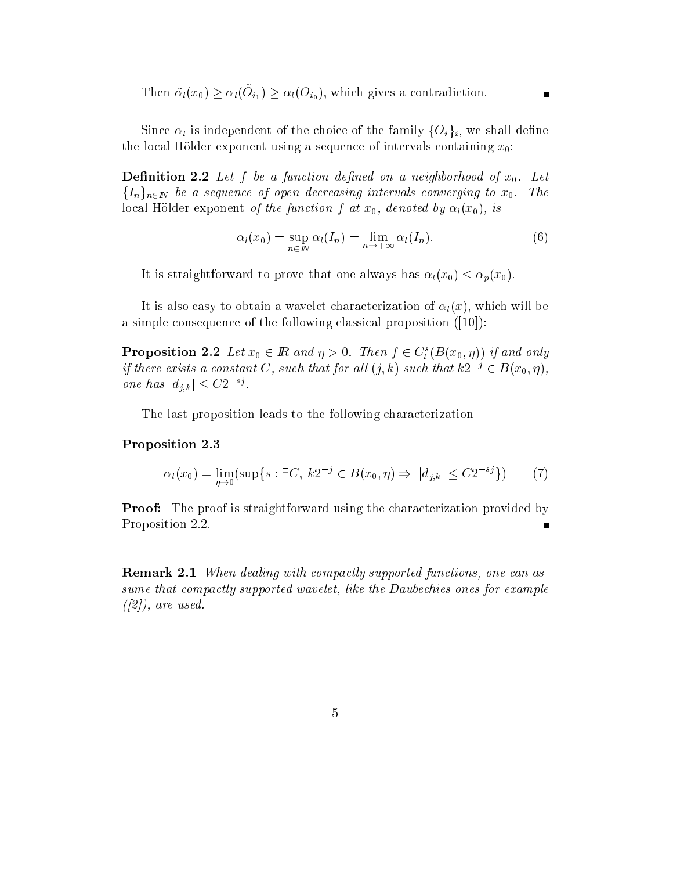Then  $\alpha_l(x_0) \leq \alpha_l(\mathcal{O}_{i_1}) \leq \alpha_l(\mathcal{O}_{i_0}),$  which gives a contradiction.

e and the family formulation  $\mathcal{N}$  independent of the family formulation  $\mathcal{N}$  in the family formulation  $\mathcal{N}$ the local Hölder exponent using a sequence of intervals containing  $x_0$ :

**Definition 2.2** Let f be a function defined on a neighborhood of  $x_0$ . Let  $\{I_n\}_{n\in\mathbb{N}}$  be a sequence of open decreasing intervals converging to  $x_0$ . The local Hölder exponent of the function f at  $x_0$ , denoted by  $\alpha_l(x_0)$ , is

$$
\alpha_l(x_0) = \sup_{n \in \mathbb{N}} \alpha_l(I_n) = \lim_{n \to +\infty} \alpha_l(I_n).
$$
 (6)

It is straightforward to prove that one always has  $\alpha_l(x_0) \leq \alpha_p(x_0)$ .

It is also easy to obtain a wavelet characterization of  $\alpha_l(x)$ , which will be a simple consequence of the following classical proposition  $([10])$ :

**Proposition 2.2** Let  $x_0 \in \mathbb{R}$  and  $\eta > 0$ . Then  $f \in C_{\tilde{l}}(D(x_0, \eta))$  if and only if there exists a constant  $C$ , such that for all  $(j, \kappa)$  such that  $\kappa z$   $\ell \in B(x_0, \eta)$ , one has  $|a_{i,k}| \leq C_2$ .

The last proposition leads to the following characterization

### Proposition 2.3

$$
\alpha_l(x_0) = \lim_{\eta \to 0} (\sup \{ s : \exists C, \ k2^{-j} \in B(x_0, \eta) \Rightarrow \ |d_{j,k}| \le C2^{-sj} \}) \tag{7}
$$

**Proof:** The proof is straightforward using the characterization provided by Proposition 2.2.

**Remark 2.1** When dealing with compactly supported functions, one can assume that ompa
tly supported wavelet, like the Daube
hies ones for example  $([2])$ , are used.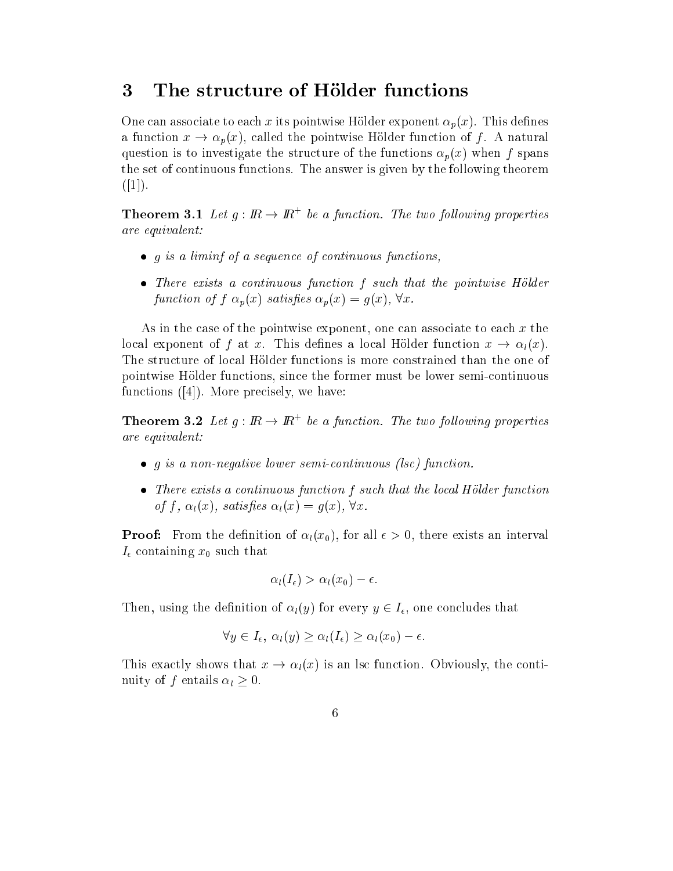#### The structure of Hölder functions  $\overline{3}$

One can associate to each x its pointwise Hölder exponent  $\alpha_p(x)$ . This defines a function  $x \to \alpha_p(x)$ , called the pointwise Hölder function of f. A natural question is to investigate the structure of the functions  $\alpha_p(x)$  when f spans the set of continuous functions. The answer is given by the following theorem  $([1]).$ 

**Theorem 3.1** Let  $q: \mathbb{R} \to \mathbb{R}^+$  be a function. The two following properties are equivalent:

- <sup>g</sup> is a liminf of a sequen
e of ontinuous fun
tions,
- tion f such a superious function function function function function function function function function function  $\mathbf{f}(\mathbf{r})$ function of  $f \alpha_p(x)$  satisfies  $\alpha_p(x) = g(x)$ ,  $\forall x$ .

As in the case of the pointwise exponent, one can associate to each  $x$  the local exponent of f at x. This defines a local Hölder function  $x \to \alpha_l(x)$ . The structure of local Hölder functions is more constrained than the one of pointwise Holder fun
tions, sin
e the former must be lower semiontinuous functions  $([4])$ . More precisely, we have:

**Theorem 3.2** Let  $q: \mathbb{R} \to \mathbb{R}^+$  be a function. The two following properties are equivalent:

- <sup>g</sup> is a non-negative lower semiontinuous (ls
) fun
tion.
- ontinuous function function functions in the local control the local control functions in of f,  $\alpha_l(x)$ , satisfies  $\alpha_l(x) = g(x)$ ,  $\forall x$ .

**Proof:** From the definition of  $\alpha_l(x_0)$ , for all  $\epsilon > 0$ , there exists an interval ontaining the substitution of the substitution of the substitution of the substitution of the substitution of

$$
\alpha_l(I_{\epsilon}) > \alpha_l(x_0) - \epsilon.
$$

Then, using the definition of  $\alpha_l(y)$  for every  $y \in I_\epsilon$ , one concludes that

$$
\forall y \in I_{\epsilon}, \ \alpha_l(y) \ge \alpha_l(I_{\epsilon}) \ge \alpha_l(x_0) - \epsilon.
$$

This exactly shows that  $x \to \alpha_l(x)$  is an lsc function. Obviously, the continuit of the first limit of the contract of the contract of the contract of the contract of the contract of the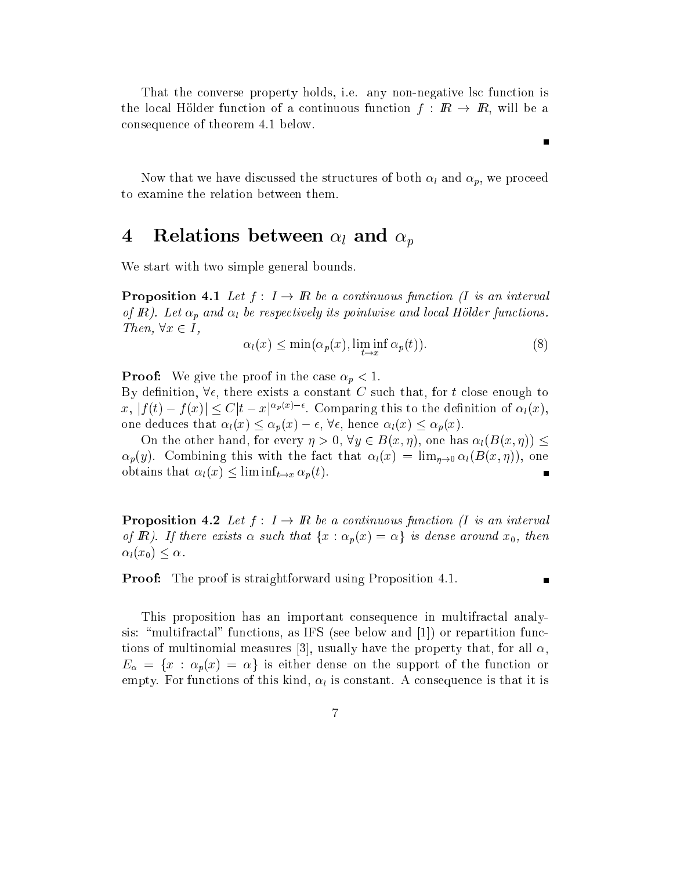That the onverse property holds, i.e. any non-negative ls fun
tion is the local Hölder function of a continuous function  $f: \mathbb{R} \to \mathbb{R}$ , will be a onsequen
e of theorem 4.1 below.

tures of the structure distribution that we have structured the structure  $\mathcal{P}_k$  and p, we provide the p, we to examine the relation between them.

#### $\boldsymbol{4}$  $\mathcal{L}$  -  $\mathcal{L}$  and positive between large positive positive positive positive positive positive positive positive positive positive positive positive positive positive positive positive positive positive positive pos

We start with two simple general bounds.

**Proposition 4.1** Let  $f: I \to \mathbb{R}$  be a continuous function (I is an interval of IR). Let provide and local be respectively in the contract of the contract of the contract of the contract o Then,  $\forall x \in I$ ,

$$
\alpha_l(x) \le \min(\alpha_p(x), \liminf_{t \to x} \alpha_p(t)). \tag{8}
$$

Proof: We give the proof in the ase p <sup>&</sup>lt; 1.

By definition,  $\forall \epsilon$ , there exists a constant C such that, for t close enough to  $x, |f(t) - f(x)| \leq C |t - x|^{2p(2)}$ . Comparing this to the definition of  $\alpha_l(x)$ , one deduces that  $\alpha_l(x) \leq \alpha_p(x) - \epsilon$ ,  $\forall \epsilon$ , hence  $\alpha_l(x) \leq \alpha_p(x)$ .

On the other hand, for every  $\eta > 0$ ,  $\forall y \in B(x, \eta)$ , one has  $\alpha_l(B(x, \eta)) \leq$  $\alpha_p(y)$ . Combining this with the fact that  $\alpha_l(x) = \lim_{n\to 0} \alpha_l(B(x,\eta))$ , one obtains that  $\alpha_l(x) \leq \liminf_{t \to x} \alpha_p(t)$ .

**Proposition 4.2** Let  $f: I \to \mathbb{R}$  be a continuous function (I is an interval of R). If there exists  $\alpha$  such that  $\{x : \alpha_p(x) = \alpha\}$  is dense around  $x_0$ , then  $\alpha_l(x_0) \leq \alpha$ .

**Proof:** The proof is straightforward using Proposition 4.1.

П

This proposition has an important consequence in multifractal analysis: "multifractal" functions, as IFS (see below and  $|1|$ ) or repartition functions of multinomial measures [3], usually have the property that, for all  $\alpha$ ,  $\sim$  for the function of the support of the support of the function of the function of the function of the function of the function of the function of the function of the function of the function of the function of the fu empty. For functions of the internal straight constant consequences in the company of the iteration of the str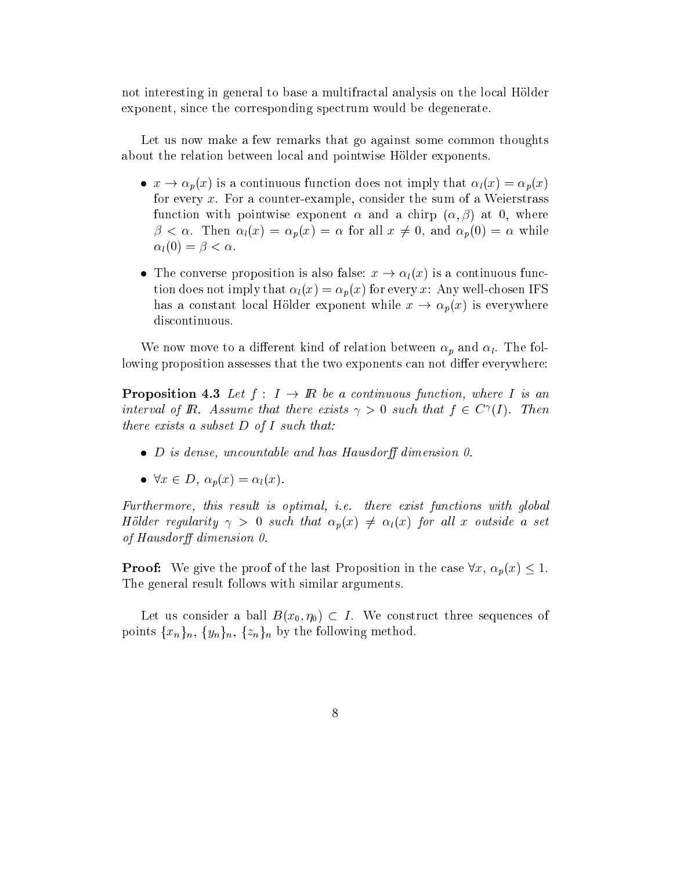not interesting in general to base a multifractal analysis on the local Hölder exponent, since the corresponding spectrum would be degenerate.

Let us now make a few remarks that go against some common thoughts about the relation between local and pointwise Hölder exponents.

- <sup>x</sup> ! p(x) is a ontinuous fun
tion does not imply that l(x) = p(x) for every  $x$ . For a counter-example, consider the sum of a Weierstrass function with pointwise exponent  $\alpha$  and a chirp  $(\alpha, \beta)$  at 0, where  $\mu$  , the position of  $\mu$  and  $\mu$  and  $\mu$  for all  $\mu$   $\mu$   $\mu$  and  $\mu$  and  $\mu$   $\mu$  and  $\mu$  and  $\mu$  $\alpha_l(0) = \beta < \alpha$ .
- on the proposition is also false proposition is also false to the continuous function is a continuous function tion does not imply that  $\alpha_l(x) = \alpha_p(x)$  for every x: Any well-chosen IFS has a constant local Hölder exponent while  $x \to \alpha_p(x)$  is everywhere dis
ontinuous.

We now move to an and of relation between p and l . The following  $\mathbb{F}_p$  and  $\mathbb{F}_p$  . The following lowing proposition assesses that the two exponents can not differ everywhere:

**Proposition 4.3** Let  $f: I \to \mathbb{R}$  be a continuous function, where I is an interval of **I**R. Assume that there exists  $\gamma > 0$  such that  $\gamma \in C^{\infty}(T)$ . Then there exists a subset  $D$  of I such that:

- <sup>D</sup> is dense, un
ountable and has Hausdor dimension 0.
- 8x <sup>2</sup> D, p(x) = l(x).

Furthermore, this result is optimal, *i.e.* there exist functions with global Hölder regularity  $\gamma > 0$  such that  $\alpha_p(x) \neq \alpha_l(x)$  for all x outside a set of Hausdorff dimension  $0$ .

**Proof:** We give the proof of the last Proposition in the case  $\forall x, \alpha_p(x) \leq 1$ . The general result follows with similar arguments.

Let us consider a ball  $B(x_0, \eta_0) \subset I$ . We construct three sequences of points following from the following method. For the following method  $\alpha$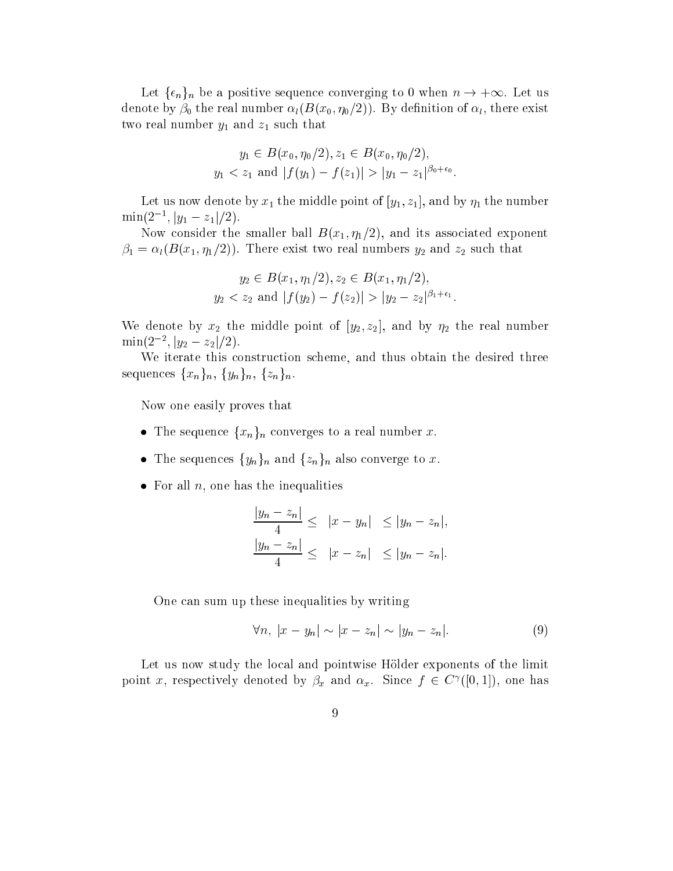$-$  1 which be a positive sequence set in  $\alpha$  is a positive sequence of  $\alpha$  , the sequence of  $\alpha$ denote by  $\mathbb{P}(0, \mathbb{R})$  , we can construct the real number of left  $\mathbb{P}(0, \mathbb{R})$  , there exists a second construction of left  $\mathbb{R}$ that is not interesting that is not interesting to  $\mathbf{1}$ 

$$
y_1 \in B(x_0, \eta_0/2), z_1 \in B(x_0, \eta_0/2),
$$
  
\n $y_1 < z_1$  and  $|f(y_1) - f(z_1)| > |y_1 - z_1|^{\beta_0 + \epsilon_0}.$ 

Let us now denote by  $\alpha$  if the middle point of  $\beta$  the number  $\beta$  is the number of  $\beta$  the number of  $\alpha$  $\min(z^-, |y_1 - z_1|/2).$ 

Now consider the smaller ball  $B(x_1, \eta_1/2)$ , and its associated exponent  $\mathcal{H}$  is the contract two real numbers of  $\mathcal{H}$  and zurinful numbers  $\mathcal{H}$  and zurinful numbers  $\mathcal{H}$  and zurinful numbers  $\mathcal{H}$  and zurinful numbers  $\mathcal{H}$  and zurinful numbers  $\mathcal{H}$  and zurinful numb

$$
y_2 \in B(x_1, \eta_1/2), z_2 \in B(x_1, \eta_1/2),
$$
  
\n $y_2 < z_2$  and  $|f(y_2) - f(z_2)| > |y_2 - z_2|^{\beta_1 + \epsilon_1}$ 

We denote by  $\alpha$  the middle point of  $\alpha$  and  $\alpha$   $\alpha$  and  $\alpha$  is  $\alpha$  the real number of  $\min(z^-, |y_2 - z_2|/2).$ 

We iterate this construction scheme, and thus obtain the desired three sequences  ${x_n}_n, {y_n}_n, {z_n}_n$ .

Now one easily proves that

- onverges to a real number of  $\alpha$  real number  $\alpha$  real number  $\alpha$  real number  $\alpha$
- the sequence on also and factor and finding to second convergence to the second
- For all n, one has the inequalities

$$
\frac{|y_n - z_n|}{4} \le |x - y_n| \le |y_n - z_n|,
$$
  

$$
\frac{|y_n - z_n|}{4} \le |x - z_n| \le |y_n - z_n|.
$$

One an sum up these inequalities by writing

$$
\forall n, |x - y_n| \sim |x - z_n| \sim |y_n - z_n|.
$$
 (9)

Let us now study the local and pointwise Hölder exponents of the limit point x, respectively denoted by  $\rho_x$  and  $\alpha_x$ . Since  $f \in C$  ([0, 1]), one has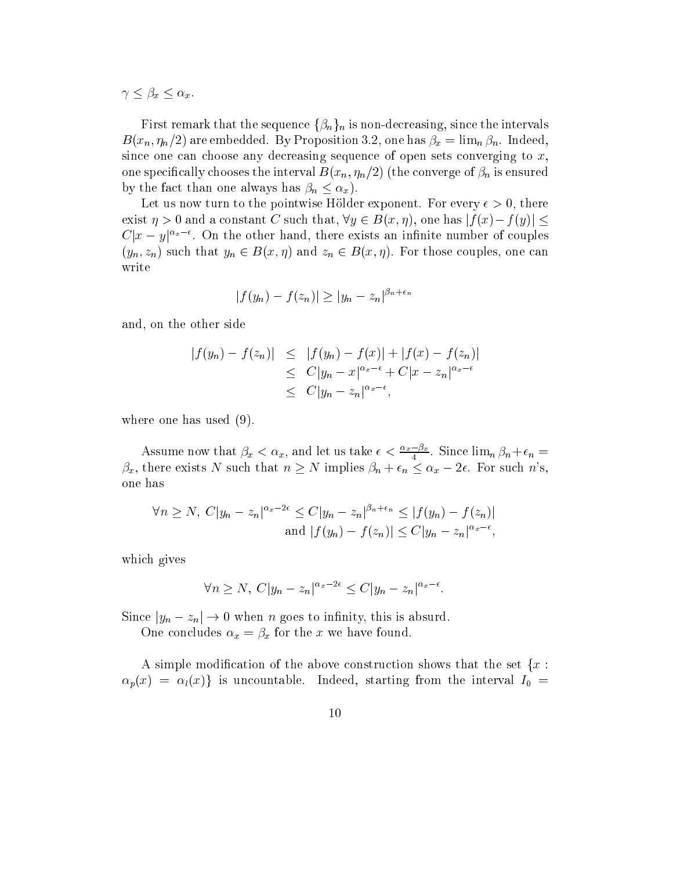$x - x + y - z + z$ 

Figure that the sequence of  $\Gamma$  is non-definition for  $\Gamma$  intervals for  $\Gamma$  $\equiv$  (constant  $\equiv$  ) and embedded on the state  $\mu$  one has extended. In the limit  $\mu$  is the constant of  $\mu$ since one can choose any decreasing sequence of open sets converging to  $x$ , one species that is the interval below the interval  $\mathcal{L}(h)$  (if  $h$  ) (if  $\mathcal{L}(h)$  is ensured of  $\mathcal{L}(h)$  and interval  $\mathcal{L}(h)$  $\mathcal{L}_{\mathcal{A}}$  than one always has the fact of  $\mathcal{A}$  , and  $\mathcal{A}$  is the fact of  $\mathcal{A}$ 

Let us now turn to the pointwise Hölder exponent. For every  $\epsilon > 0$ , there exist  $\eta > 0$  and a constant C such that,  $\forall y \in B(x, \eta)$ , one has  $|f(x) - f(y)| \le$  $C[x - y]$  " . On the other hand, there exists an infinite number of couples  $\{g_{10},\ldots\}$  such that  $g_{10}\neq\cdots$  and  $\{g_{n}\}$  and  $\{g_{n}\}=1$  and  $\{g_{n}\}$  . For those contracts on the such that

$$
|f(y_n) - f(z_n)| \ge |y_n - z_n|^{\beta_n + \epsilon_n}
$$

and, on the other side

$$
|f(y_n) - f(z_n)| \leq |f(y_n) - f(x)| + |f(x) - f(z_n)|
$$
  
\n
$$
\leq C|y_n - x|^{\alpha_x - \epsilon} + C|x - z_n|^{\alpha_x - \epsilon}
$$
  
\n
$$
\leq C|y_n - z_n|^{\alpha_x - \epsilon},
$$

where one has used (9).

Assume now that  $\beta_x < \alpha_x$ , and let us take  $\epsilon < \frac{2x + \mu_x}{4}$ . Since  $\lim_n \beta_n + \epsilon_n =$  $\beta_x$ , there exists N such that  $n \geq N$  implies  $\beta_n + \epsilon_n \leq \alpha_x - 2\epsilon$ . For such n's, one has

$$
\forall n \ge N, \ C|y_n - z_n|^{\alpha_x - 2\epsilon} \le C|y_n - z_n|^{\beta_n + \epsilon_n} \le |f(y_n) - f(z_n)|
$$
  
and  $|f(y_n) - f(z_n)| \le C|y_n - z_n|^{\alpha_x - \epsilon}$ ,

whi
h gives

$$
\forall n \ge N, C |y_n - z_n|^{\alpha_x - 2\epsilon} \le C |y_n - z_n|^{\alpha_x - \epsilon}.
$$

 $\sim$  in the state of the state is absolute to interest in the state  $\sim$ 

one comment the public term in the method of the second

A simple modification of the above construction shows that the set  $\{x:$  $p$ (x)  $p$  is understanded, starting from the independent from the interval  $q$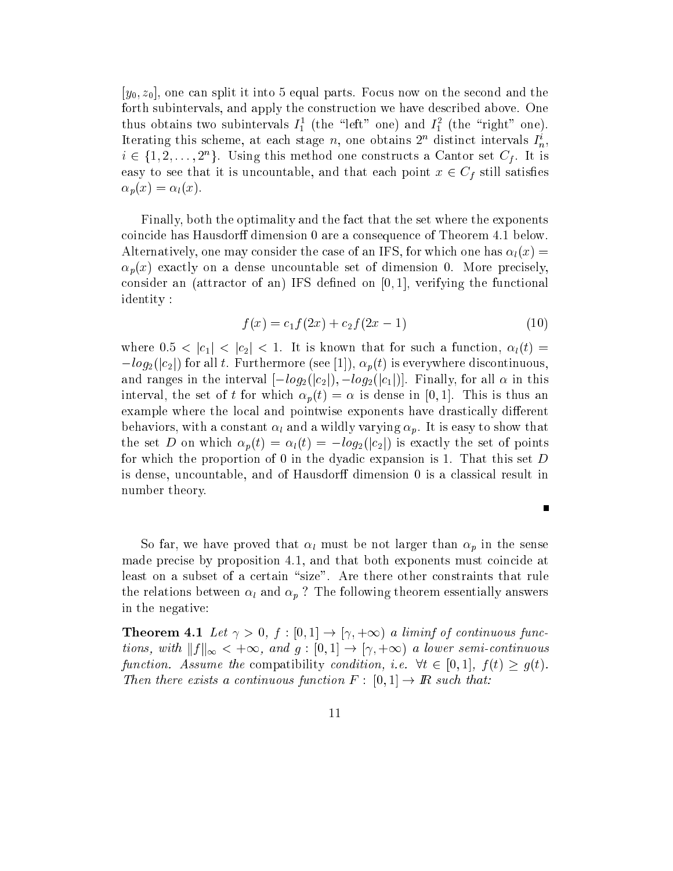$[y_0, z_0]$ , one can split it into 5 equal parts. Focus now on the second and the forth subintervals, and apply the construction we have described above. One thus obtains two subintervals  $I_1^{\dagger}$  (the  $\ell$  left one) and  $I_1^{\dagger}$  (the right one). Iterating this scheme, at each stage  $n$ , one obtains 2<sup>n</sup> distinct intervals  $I_n$ ,  $i \in \{1, 2, \ldots, 2^n\}$ . Using this method one constructs a Cantor set  $C_f$ . It is easy to see that it is understanding under that the point  $\mu$  in  $\infty$  , and that we  $\alpha_p(x) = \alpha_l(x).$ 

Finally, both the optimality and the fact that the set where the exponents coincide has Hausdorff dimension 0 are a consequence of Theorem 4.1 below. Alternatively, one may consider the case of an IFS, for which one has  $\alpha_l(x) =$  $\alpha_p(x)$  exactly on a dense uncountable set of dimension 0. More precisely, consider an (attractor of an) IFS defined on  $[0, 1]$ , verifying the functional identity :

$$
f(x) = c_1 f(2x) + c_2 f(2x - 1)
$$
\n(10)

where  $0.5 < |c_1| < |c_2| < 1$ . It is known that for such a function,  $\alpha_l(t)$  $-\log_2(|c_2|)$  for all t. Furthermore (see [1]),  $\alpha_p(t)$  is everywhere discontinuous, and ranges in the interval  $[-log_2(|c_2|), -log_2(|c_1|)]$ . Finally, for all  $\alpha$  in this interval, the set of t for which  $\alpha_p(t) = \alpha$  is dense in [0,1]. This is thus an example where the local and pointwise exponents have drastically different behaviors, with a window  $\mathcal{W}$  and a wildly varying p. It is easy to show that is easy to show that  $\mathcal{W}$ the set D on which  $\alpha_p(t) = \alpha_l(t) = -log_2(|c_2|)$  is exactly the set of points for which the proportion of 0 in the dyadic expansion is 1. That this set D is dense, uncountable, and of Hausdorff dimension 0 is a classical result in number theory.

So far, we have proved that  $\mathbb{Z}_k$  have not larger than  $\mathcal{Q}$  in the sense in the sense made precise by proposition 4.1, and that both exponents must coincide at least on a subset of a certain "size". Are there other constraints that rule the relations between lines between lines  $\mathbf{u}$  , the following theorem essentially answers the following in the negative:

**Theorem 4.1** Let  $\gamma > 0$ ,  $f : [0,1] \rightarrow [\gamma, +\infty)$  a liminf of continuous functions, with  $||f||_{\infty} < +\infty$ , and  $g : [0, 1] \to [\gamma, +\infty)$  a lower semi-continuous function. Assume the compatibility condition, i.e.  $\forall t \in [0,1], f(t) \geq g(t)$ . Then there exists a continuous function  $F : [0,1] \to \mathbb{R}$  such that: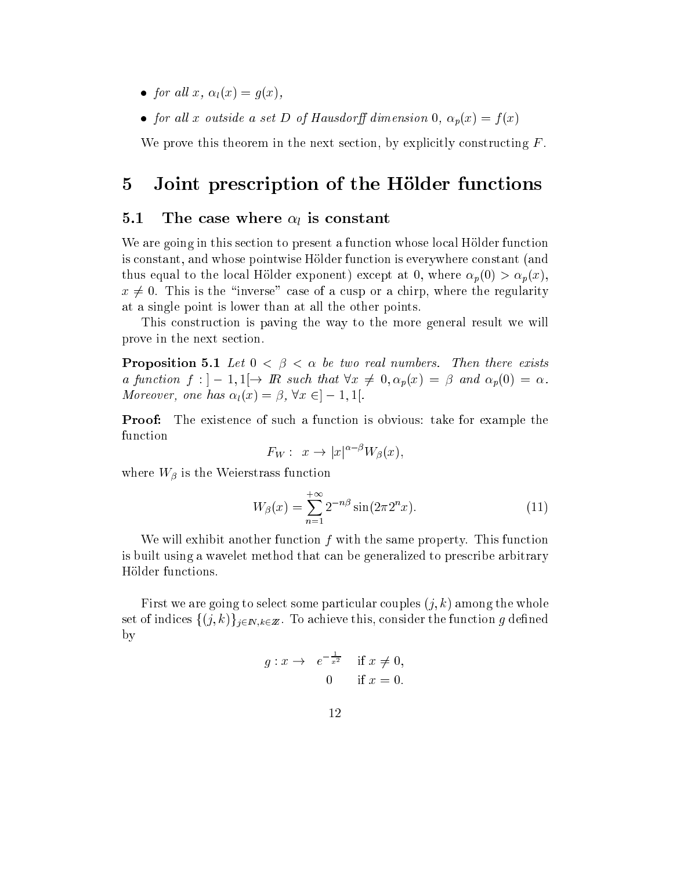- $f(x) = f(x) + f(x) + f(x)$ , if  $f(x) = f(x)$
- for all later and  $\alpha$  set  $\alpha$  of  $\alpha$  or dimension of  $\alpha$  or  $\alpha$  ,  $\alpha$  (x)  $\alpha$

We prove this theorem in the next section, by explicitly constructing  $F$ .

## 5 Joint prescription of the Hölder functions

#### 5.1The case where  $\alpha_l$  is constant

We are going in this section to present a function whose local Hölder function is onstant, and whose pointwise Holder fun
tion is everywhere onstant (and thus equal to the local Hölder exponent) except at 0, where  $\alpha_p(0) > \alpha_p(x)$ , as a group of a series of a contract of a series of a series of a series of a series of a series of a series o at a single point is lower than at all the other points.

This onstru
tion is paving the way to the more general result we will prove in the next se
tion.

**Proposition 5.1** Let  $0 < \beta < \alpha$  be two real numbers. Then there exists a function  $f: \n \begin{cases} -1, & 1 \rightarrow \mathbb{R} \text{ such that } \forall x \neq 0, \alpha_p(x) = \beta \text{ and } \alpha_p(0) = \alpha. \end{cases}$ Moreover, one has  $\alpha_l(x) = \beta, \forall x \in ]-1,1[$ .

**Proof:** The existence of such a function is obvious: take for example the fun
tion

$$
F_W: x \to |x|^{\alpha-\beta}W_{\beta}(x),
$$

where we have the Weierstrass function and the Weierstrass functions of the Weierstrass function of the Weiers

$$
W_{\beta}(x) = \sum_{n=1}^{+\infty} 2^{-n\beta} \sin(2\pi 2^n x). \tag{11}
$$

We will exhibit another function  $f$  with the same property. This function is built using a wavelet method that an be generalized to pres
ribe arbitrary Hölder functions.

First we are going to select some particular couples  $(j, k)$  among the whole set of indices  $\{(j,k)\}_{j\in\mathbb{N},k\in\mathbb{Z}}$ . To achieve this, consider the function g defined by

$$
g: x \to e^{-\frac{1}{x^2}} \quad \text{if } x \neq 0,
$$
  
0 if  $x = 0$ .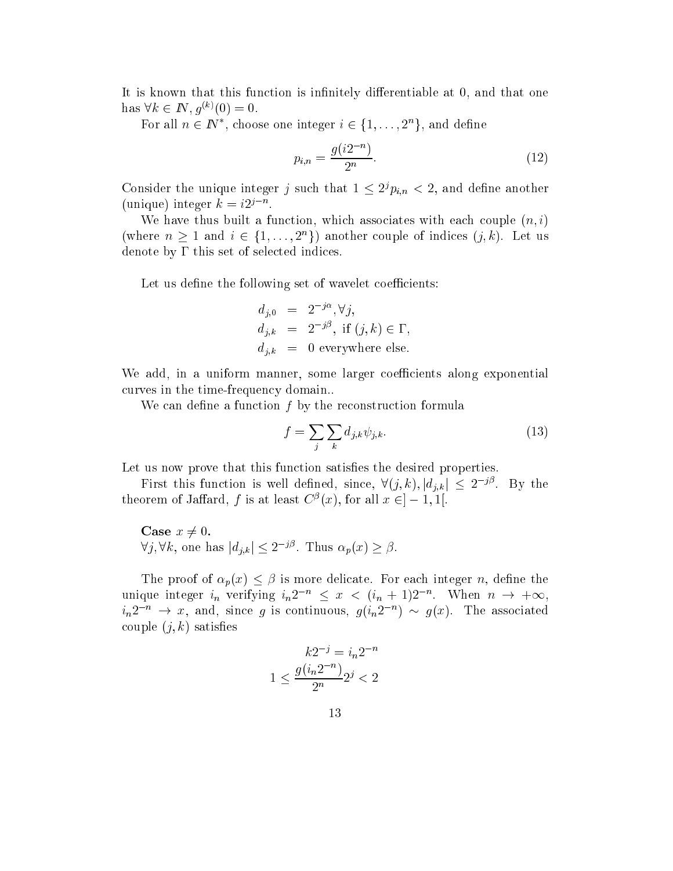It is known that this function is infinitely differentiable at 0, and that one  $\max V \kappa \in I\mathbb{N}, q^{\varsigma \gamma}(\mathbb{U}) = \mathbb{U}.$ 

For all  $n \in I\!\!N$  , choose one integer  $i \in \{1, \ldots, 2^n\}$ , and define

$$
p_{i,n} = \frac{g(i2^{-n})}{2^n}.
$$
\n(12)

Consider the unique integer f such that  $1 \leq z^{j} p_{i,n} < z$ , and define another (unique) integer  $\kappa = i2^j$ .

We have thus built a function, which associates with each couple  $(n, i)$ (where  $n > 1$  and  $i \in \{1, \ldots, 2^n\}$ ) another couple of indices  $(j, \kappa)$ . Let us denote by  $\Gamma$  this set of selected indices.

Let us define the following set of wavelet coefficients:

$$
d_{j,0} = 2^{-j\alpha}, \forall j,
$$
  
\n
$$
d_{j,k} = 2^{-j\beta}, \text{ if } (j,k) \in \Gamma,
$$
  
\n
$$
d_{j,k} = 0 \text{ everywhere else.}
$$

We add, in a uniform manner, some larger coefficients along exponential curves in the time-frequency domain...

We can define a function  $f$  by the reconstruction formula

$$
f = \sum_{j} \sum_{k} d_{j,k} \psi_{j,k}.
$$
 (13)

Let us now prove that this function satisfies the desired properties.

First this function is well defined, since,  $V(j, k)$ ,  $|a_{j,k}| \leq 2^{-j \varepsilon}$ . By the theorem of Janard, f is at least  $C^r(x)$ , for all  $x \in [-1, 1]$ .

Case  $x \neq 0$ .  $\forall j, \forall k, \text{ one has } |a_{j,k}| \leq 2$  ". Thus  $\alpha_p(x) \geq p$ .

The proof of  $\alpha_p(x) \leq \beta$  is more delicate. For each integer n, define the unique integer  $i_n$  verifying  $i_n z$   $\leq x \leq (i_n + 1)z$ . When  $n \to +\infty$ ,  $i_n z \rightarrow x$ , and, since g is continuous,  $g(i_n z \rightarrow \infty g(x)$ . The associated couple  $(j, k)$  satisfies

$$
k2^{-j} = i_n 2^{-n}
$$

$$
1 \le \frac{g(i_n 2^{-n})}{2^n} 2^j < 2
$$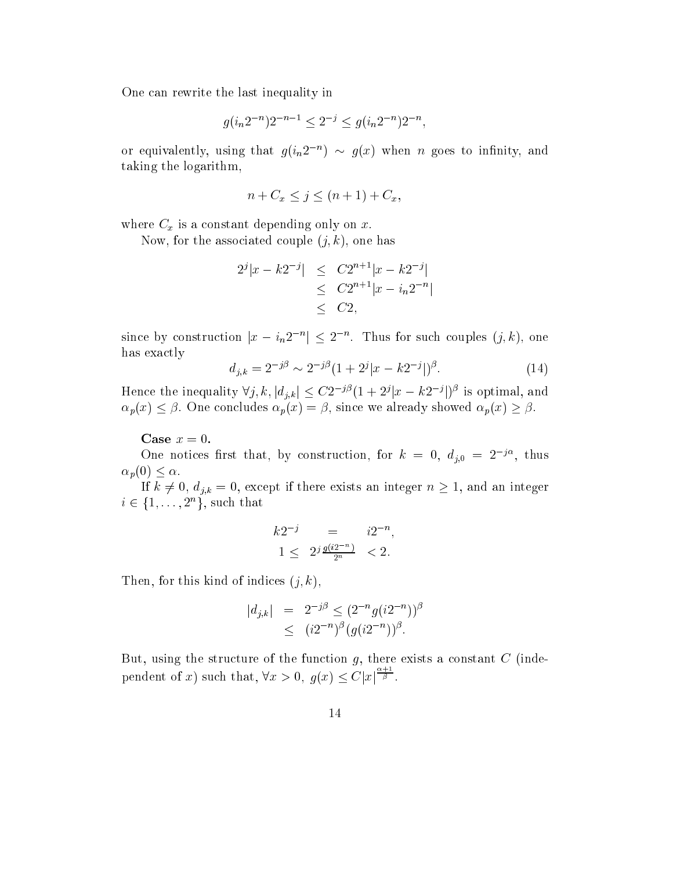One an rewrite the last inequality in

$$
g(i_n 2^{-n}) 2^{-n-1} \le 2^{-j} \le g(i_n 2^{-n}) 2^{-n},
$$

or equivalently, using that  $g(y_n z_n) \sim g(x)$  when n goes to infinity, and taking the logarithm,

$$
n + C_x \le j \le (n+1) + C_x,
$$

where  $\sim x$  is a commutation on procedure  $\Omega$  is any commutation of

Now, for the associated couple  $(j, k)$ , one has

$$
2^{j}|x - k2^{-j}| \leq C2^{n+1}|x - k2^{-j}|
$$
  
\n
$$
\leq C2^{n+1}|x - i_n 2^{-n}|
$$
  
\n
$$
\leq C2,
$$

since by construction  $|x - i_n z| \leq z$ . Thus for such couples  $(j, \kappa)$ , one has exactly

$$
d_{j,k} = 2^{-j\beta} \sim 2^{-j\beta} (1 + 2^j |x - k2^{-j}|)^{\beta}.
$$
 (14)

Hence the inequality  $\forall j, \kappa, |a_{j,k}| \leq C2$  is  $(1 + 2^{j} |x - \kappa 2^{-j}|)^{r}$  is optimal, and  $\mathbb{P}^1$  ) is the contracted pure  $\mathbb{P}^1$  , and the measure properties of  $\mathbb{P}^1$  , the measure properties of  $\mathbb{P}^1$ 

Case  $x = 0$ .

One notices first that, by construction, for  $\kappa = 0, a_{i,0} = 2$  . thus  $\alpha_p(0) \leq \alpha$ .

ept if the distribution of the contract the contract contract in the second contract  $\cap$  $i \in \{1, \ldots, 2^n\}$ , such that

$$
k2^{-j} = i2^{-n},
$$
  
 
$$
1 \leq 2^{j} \frac{g(i2^{-n})}{2^{n}} < 2.
$$

Then, for this kind of indices  $(j, k)$ ,

$$
|d_{j,k}| = 2^{-j\beta} \le (2^{-n} g(i2^{-n}))^{\beta}
$$
  
 
$$
\le (i2^{-n})^{\beta} (g(i2^{-n}))^{\beta}.
$$

But, using the structure of the function  $g$ , there exists a constant  $C$  (independent of x) su
h that, 8x <sup>&</sup>gt; 0; g(x) Cjxj  $\overline{\beta}$ .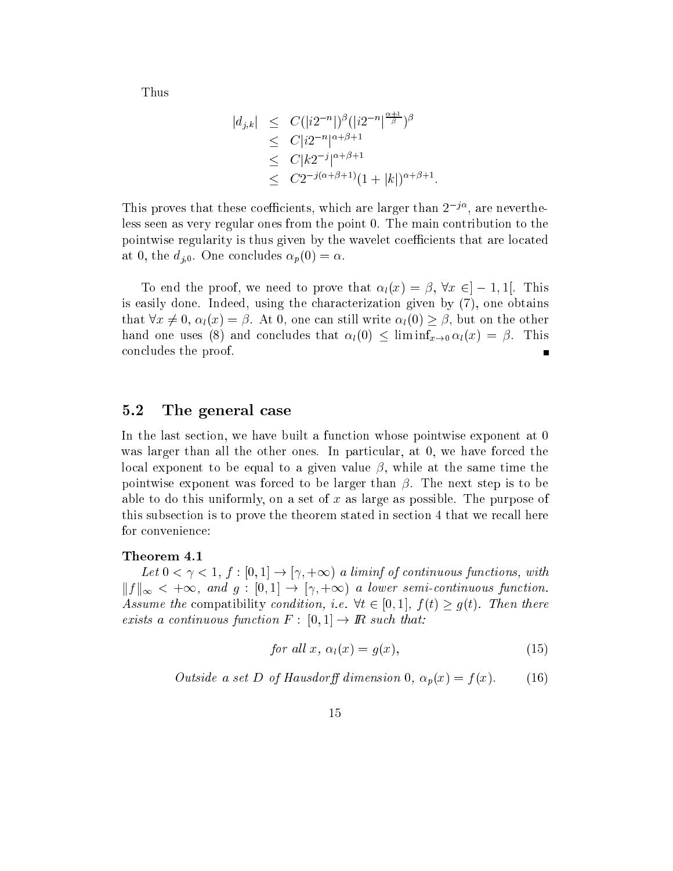Thus

$$
|d_{j,k}| \leq C(|i2^{-n}|)^{\beta} (|i2^{-n}|^{\frac{\alpha+1}{\beta}})^{\beta}
$$
  
\n
$$
\leq C|i2^{-n}|^{\alpha+\beta+1}
$$
  
\n
$$
\leq C|k2^{-j}|^{\alpha+\beta+1}
$$
  
\n
$$
\leq C2^{-j(\alpha+\beta+1)}(1+|k|)^{\alpha+\beta+1}.
$$

I his proves that these coemclents, which are larger than 2<sup>j'</sup>, are nevertheless seen as very regular ones from the point 0. The main ontribution to the pointwise regularity is thus given by the wavelet coefficients that are located at 0, the  $d_{j,0}$ . One concludes  $\alpha_p(0) = \alpha$ .

To end the proof, we need to prove that  $\alpha_l(x) = \beta, \forall x \in ]-1,1[$ . This is easily done. Indeed, using the hara
terization given by (7), one obtains that  $\forall x \neq 0, \alpha_i(x) = \beta$ . At 0, one can still write  $\alpha_i(0) \geq \beta$ , but on the other hand one uses (8) and concludes that  $\alpha_l(0) \leq \liminf_{x\to 0} \alpha_l(x) = \beta$ . This on
ludes the proof.

#### 5.2The general ase

In the last section, we have built a function whose pointwise exponent at 0 was larger than all the other ones. In particular, at 0, we have forced the local exponent to be equal to a given value  $\beta$ , while at the same time the pointwise exponent was forced to be larger than  $\beta$ . The next step is to be able to do this uniformly, on a set of x as large as possible. The purpose of this subse
tion is to prove the theorem stated in se
tion 4 that we re
all here for convenience:

### Theorem 4.1

Let  $0 < \gamma < 1$ ,  $f : [0, 1] \rightarrow [\gamma, +\infty)$  a liminf of continuous functions, with kf k1 <sup>&</sup>lt; +1, and <sup>g</sup> : [0; 1℄ ! [
 ; +1) <sup>a</sup> lower semiontinuous fun
tion. Assume the compatibility condition, i.e.  $\forall t \in [0,1], f(t) \ge g(t)$ . Then there exists a continuous function  $F : [0,1] \to \mathbb{R}$  such that:

$$
for all x, \alpha_l(x) = g(x), \tag{15}
$$

Outside a set D of Hausdorff dimension 0,  $\alpha_p(x) = f(x)$ . (16)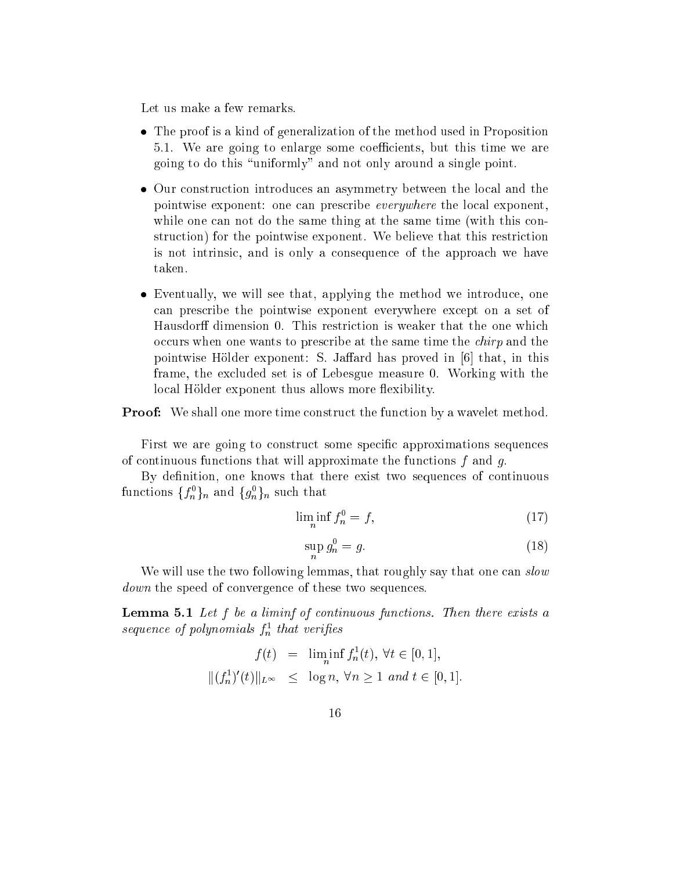Let us make a few remarks.

- The proof is a kind of generalization of the method used in Proposition 5.1. We are going to enlarge some oeÆ
ients, but this time we are going to do this \uniformly" and not only around a single point.
- Our onstru
tion introdu
es an asymmetry between the lo
al and the pointwise exponent: one can prescribe *everywhere* the local exponent. while one can not do the same thing at the same time (with this construction) for the pointwise exponent. We believe that this restriction is not intrinsi
, and is only a onsequen
e of the approa
h we have taken.
- Eventually, we will see that, applying the method we introdu
e, one an pres
ribe the pointwise exponent everywhere ex
ept on a set of Hausdorff dimension 0. This restriction is weaker that the one which occurs when one wants to prescribe at the same time the *chirp* and the pointwise Hölder exponent: S. Jaffard has proved in  $\vert 6 \vert$  that, in this frame, the ex
luded set is of Lebesgue measure 0. Working with the local Hölder exponent thus allows more flexibility.

**Proof:** We shall one more time construct the function by a wavelet method.

First we are going to construct some specific approximations sequences of continuous functions that will approximate the functions  $f$  and  $g$ .

By definition, one knows that there exist two sequences of continuous functions  $\{f_n\}_n$  and  $\{g_n\}_n$  such that

$$
\liminf_{n} f_n^0 = f,\tag{17}
$$

$$
\sup_{n} g_n^0 = g. \tag{18}
$$

We will use the two following lemmas, that roughly say that one can slow *down* the speed of convergence of these two sequences.

**Lemma 5.1** Let f be a liminf of continuous functions. Then there exists a sequence of polynomials  $f_n^{\pi}$  that vertiles

$$
f(t) = \liminf_{n} f_n^1(t), \forall t \in [0, 1],
$$
  

$$
|| (f_n^1)'(t) ||_{L^{\infty}} \le \log n, \forall n \ge 1 \text{ and } t \in [0, 1].
$$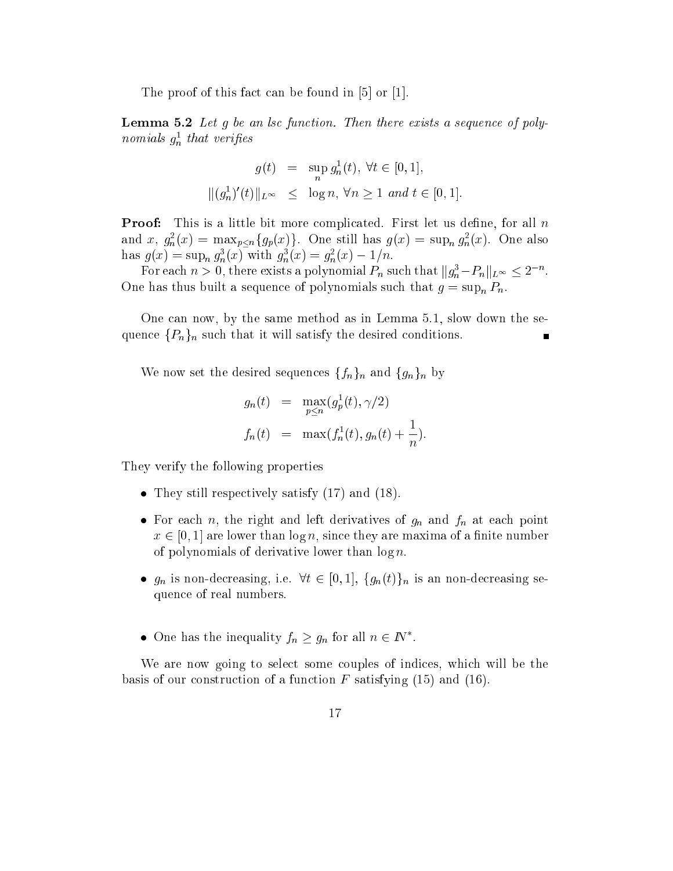The proof of this fact can be found in  $[5]$  or  $[1]$ .

Lemma 5.2 Let g be an lsc function. Then there exists a sequence of polynomials  $g_n^-$  that verifies

$$
g(t) = \sup_{n} g_n^1(t), \forall t \in [0, 1],
$$
  

$$
\|(g_n^1)'(t)\|_{L^{\infty}} \le \log n, \forall n \ge 1 \text{ and } t \in [0, 1].
$$

**Proof:** This is a little bit more complicated. First let us define, for all  $n$ and x,  $g_n(x) = \max_{p \leq n} \{g_p(x)\}$ . One still has  $g(x) = \sup_n g_n(x)$ . One also nas  $g(x) = \sup_n g_n(x)$  with  $g_n(x) = g_n(x) - 1/n$ .

For each  $n > 0$ , there exists a polynomial  $F_n$  such that  $||g_n^* - F_n||_{L^\infty} \leq 2^{-\alpha}$ . of polynomials such a sequence of polynomials such such that  $g = \exp(\mu - \mu)$ 

One an now, by the same method as in Lemma 5.1, slow down the seand the final satisfy the desired such that it will desire the desired of the desired the desired the satisfy

where the desired sequence sequences for an angle  $\mathcal{A}$  and  $\mathcal{A}$  and  $\mathcal{A}$ 

$$
g_n(t) = \max_{p \le n} (g_p^1(t), \gamma/2)
$$
  

$$
f_n(t) = \max(f_n^1(t), g_n(t) + \frac{1}{n}).
$$

They verify the following properties

- They still respe
tively satisfy (17) and (18).
- For ea
h n, the right and left derivatives of gn and fn at ea
h point  $\alpha$  . They are lower than log n, since  $\alpha$  , and a maximally defined of a maxima of of polynomials of derivative lower than  $\log n$ .
- gn is no decepted in the reason is  $\epsilon$  , i.e.  $\epsilon$  for an independent in the second second in  $\epsilon$ quen
e of real numbers.
- $\bullet$  One has the inequality  $f_n \geq g_n$  for all  $n \in I_N$ .

We are now going to select some couples of indices, which will be the basis of our construction of a function F satisfying  $(15)$  and  $(16)$ .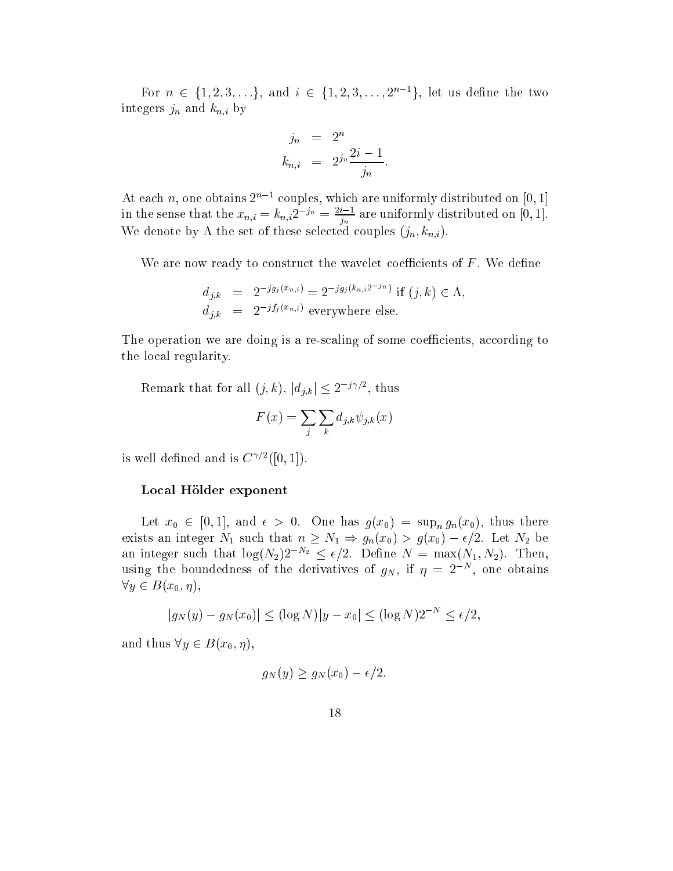For  $n \in \{1, 2, 3, \ldots\}$ , and  $i \in \{1, 2, 3, \ldots, 2^{n-1}\}$ , let us define the two integers in the contract of the contract of the contract of the contract of the contract of the contract of th

$$
j_n = 2^n
$$
  

$$
k_{n,i} = 2^{j_n} \frac{2i-1}{j_n}
$$

At each  $n$ , one obtains  $2^{n-1}$  couples, which are uniformly distributed on [0, 1] in the sense that the  $x_{n,i} = \kappa_{n,i}$ 2  $\beta^n = \frac{1}{j_n}$  are uniformly distributed on [0, 1]. We denote by  $\Lambda$  the set of these selected couples  $(j_n, k_{n,i})$ .

We are now ready to construct the wavelet coefficients of  $F$ . We define

$$
d_{j,k} = 2^{-jg_j(x_{n,i})} = 2^{-jg_j(k_{n,i}2^{-j_n})} \text{ if } (j,k) \in \Lambda,
$$
  
\n
$$
d_{j,k} = 2^{-jf_j(x_{n,i})} \text{ everywhere else.}
$$

The operation we are doing is a re-scaling of some coefficients, according to the lo
al regularity.

Remark that for all  $(j, \kappa)$ ,  $|a_{j,k}| \leq 2^{j+\epsilon/2}$ , thus

$$
F(x) = \sum_{j} \sum_{k} d_{j,k} \psi_{j,k}(x)
$$

is well defined and is  $\cup$   $\vee$   $\cap$   $\{|\theta,1|\}$ .

### Local Hölder exponent

 $\mathcal{L}$  and  $\mathcal{L}$  (or one for the support  $\mathcal{L}$  and  $\mathcal{L}$  (x0) there there there there there there there is  $\epsilon$  . International substitution and integrating  $\epsilon$  integrating  $\epsilon$  , and  $\epsilon$  and  $\epsilon$  are exactly that  $\epsilon$ an integer such that  $\log(N_2)2^{-N_2} \leq \epsilon/2$ . Define  $N = \max(N_1, N_2)$ . Then, using the boundedness of the derivatives of  $g_N$ , if  $\eta = z^{-1}$ , one obtains 8y <sup>2</sup> B(x0; ),

$$
|g_N(y) - g_N(x_0)| \leq (\log N)|y - x_0| \leq (\log N)2^{-N} \leq \epsilon/2,
$$

and thus  $\forall y \in B(x_0, \eta)$ ,

$$
g_N(y) \ge g_N(x_0) - \epsilon/2.
$$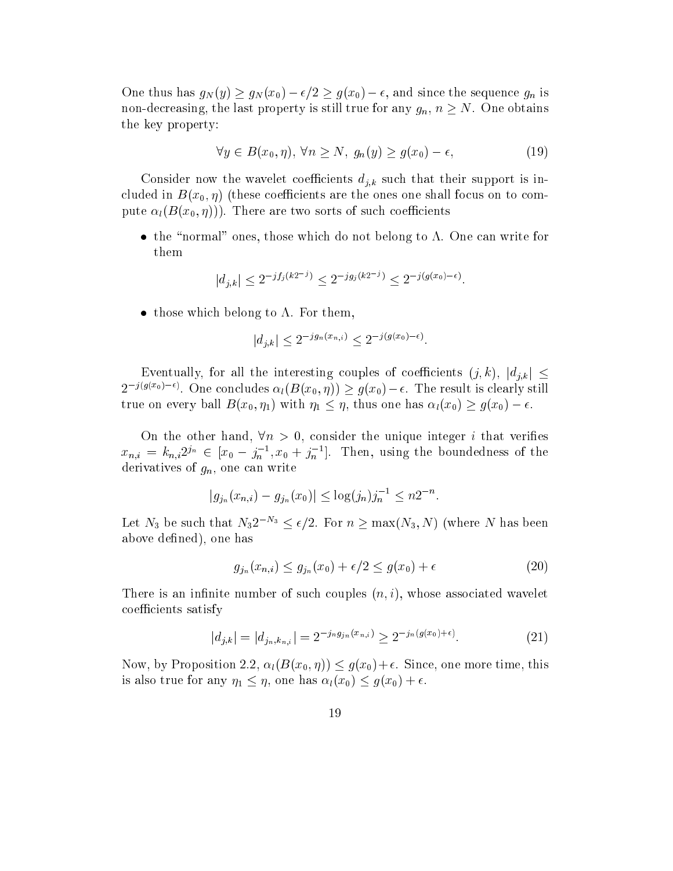$\overline{C}$  . Thus for the sequence of  $\overline{C}$  , and since  $\overline{C}$  , and since  $\overline{C}$  , and since  $\overline{C}$  , and since  $\overline{C}$  , and since  $\overline{C}$  , and since  $\overline{C}$  , and since  $\overline{C}$  , and since  $\overline{C}$  , and si non-decreasing, the last property is still true for any  $g_n$ ,  $n \geq N$ . One obtains the key property:

$$
\forall y \in B(x_0, \eta), \forall n \ge N, \ g_n(y) \ge g(x_0) - \epsilon,
$$
\n(19)

considered in that was also a considered the wavelet the wavelet the support is in the support is in the support cluded in  $B(x_0, \eta)$  (these coefficients are the ones one shall focus on to compute  $\alpha_l(B(x_0, \eta)))$ . There are two sorts of such coefficients

 $\mathbf t$  ones, the symmetry ones, those which is  $\mathbf t$  on  $\mathbf t$  . One belong to . One belong to . One belong to . One belong to . One belong to . One belong to . One belong to . One belong to . One belong to . One belong them

$$
|d_{j,k}| \leq 2^{-j f_j(k2^{-j})} \leq 2^{-j g_j(k2^{-j})} \leq 2^{-j (g(x_0) - \epsilon)}
$$

those whi
h belong to . For them,

$$
|d_{j,k}| \le 2^{-j g_n(x_{n,i})} \le 2^{-j (g(x_0) - \epsilon)}
$$

Eventually, for all the interesting couples of coefficients  $(j, k)$ ,  $|d_{j,k}| \leq$  $\mathcal{Z}$  )  $\mathcal{Z}$  (seems). One concludes  $\alpha_l(D(\mathcal{X}_0, \eta)) \geq g(\mathcal{X}_0) - \epsilon$ . The result is clearly still true on the one one has letter on the three has letters in the set of  $\mathcal{U}$  , thus one has letters on the  $\mathcal{U}$ 

On the other hand,  $\forall n > 0$ , consider the unique integer *i* that verifies  $x_{n,i} = \kappa_{n,i} z^{j,n} \in [x_0 - j_n, x_0 + j_n].$  Then, using the boundedness of the derivatives of  $g_n$ , one can write

$$
|g_{j_n}(x_{n,i}) - g_{j_n}(x_0)| \leq \log(j_n)j_n^{-1} \leq n2^{-n}.
$$

Let  $N_3$  be such that  $N_3 Z \stackrel{\sim}{\rightarrow} \le \epsilon/2$ . For  $n \ge \max(N_3, N)$  (where N has been above defined), one has

$$
g_{j_n}(x_{n,i}) \le g_{j_n}(x_0) + \epsilon/2 \le g(x_0) + \epsilon \tag{20}
$$

There is an infinite number of such couples  $(n, i)$ , whose associated wavelet coefficients satisfy

$$
|d_{j,k}| = |d_{j_n,k_{n,i}}| = 2^{-j_n g_{j_n}(x_{n,i})} \ge 2^{-j_n (g(x_0) + \epsilon)}.
$$
 (21)

Now, by Proposition 2.2,  $\alpha_l(B(x_0, \eta)) \leq g(x_0)+\epsilon$ . Since, one more time, this is also true for any 1 , one has l(x0) g(x0) <sup>+</sup> .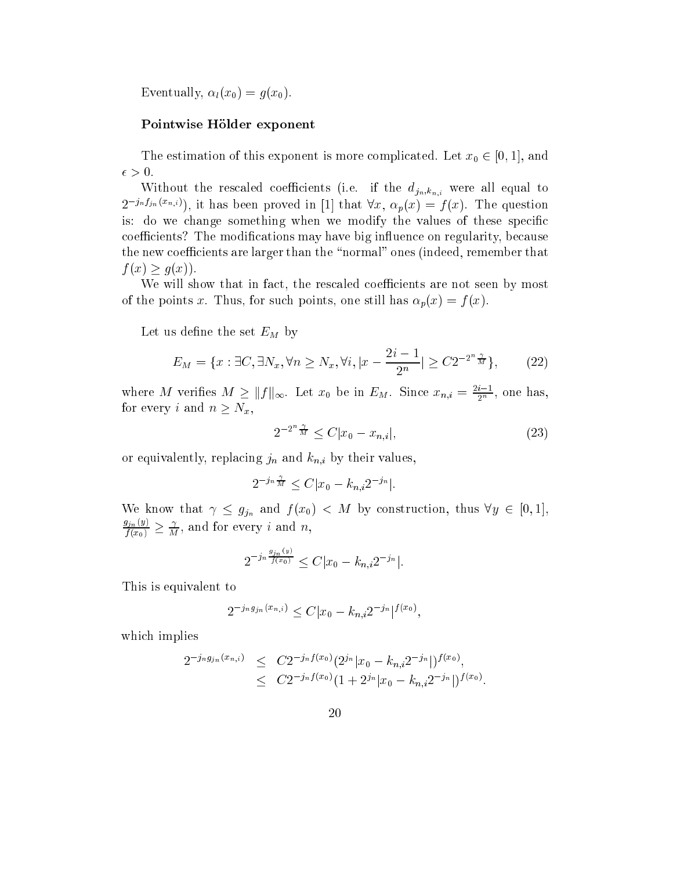Eventually,  $\alpha_l(x_0) = g(x_0)$ .

### Pointwise Hölder exponent

The estimation of this exponent is more ompli
ated. Let x0 <sup>2</sup> [0; 1℄, and

with the results (i.e. if the distribution  $\sum_{i=1}^n a_i$  is the distribution of  $\mathbf{1}$  $Z^{j,n,j,n}$  (xn;i), it has been proved in [1] that  $\forall x, \alpha_p(x) = f(x)$ . The question is: do we change something when we modify the values of these specific coefficients? The modifications may have big influence on regularity, because the new coefficients are larger than the "normal" ones (indeed, remember that  $f(x) = f(x)$ .  $f(x) = f(x)$ .

We will show that in fact, the rescaled coefficients are not seen by most of the points x. Thus, for such points, one still has  $\alpha_p(x) = f(x)$ .

Let us dene the set EM by

$$
E_M = \{x : \exists C, \exists N_x, \forall n \ge N_x, \forall i, |x - \frac{2i - 1}{2^n}| \ge C2^{-2^n \frac{\gamma}{M}}\},\qquad(22)
$$

where M verifies  $M \geq \|J\|_{\infty}$ . Let  $x_0$  be in  $E_M$ . Since  $x_{n,i} = \frac{z_{n,i}}{2^n}$ , one has, for every i and  $n \geq N_x$ ,

$$
2^{-2^{n}\frac{\gamma}{M}} \leq C|x_{0} - x_{n,i}|,
$$
\n(23)

ing in and the second property and in the first limit in and the second second property. In the second second

$$
2^{-j_n \frac{1}{M}} \le C |x_0 - k_{n,i} 2^{-j_n}|.
$$

who the first property  $\mathcal{G}/n$  and f  $\mathcal{G}/n$  is the first property from the  $\mathcal{G}$   $\mathcal{G}$  (x)  $\mathcal{G}/n$  $J_{III} \sim J_{II}$  $\frac{f(x_0)}{f(x_0)} \geq \frac{1}{M}$ , and for every *i* and *n*,

$$
2^{-j_n \frac{g_{j_n}(y)}{f(x_0)}} \le C|x_0 - k_{n,i} 2^{-j_n}|.
$$

This is equivalent to

$$
2^{-j_n g_{j_n}(x_{n,i})} \le C |x_0 - k_{n,i} 2^{-j_n}|^{f(x_0)},
$$

whi
h implies

$$
2^{-j_n g_{j_n}(x_{n,i})} \leq C 2^{-j_n f(x_0)} (2^{j_n} |x_0 - k_{n,i} 2^{-j_n}|)^{f(x_0)},
$$
  
 
$$
\leq C 2^{-j_n f(x_0)} (1 + 2^{j_n} |x_0 - k_{n,i} 2^{-j_n}|)^{f(x_0)}.
$$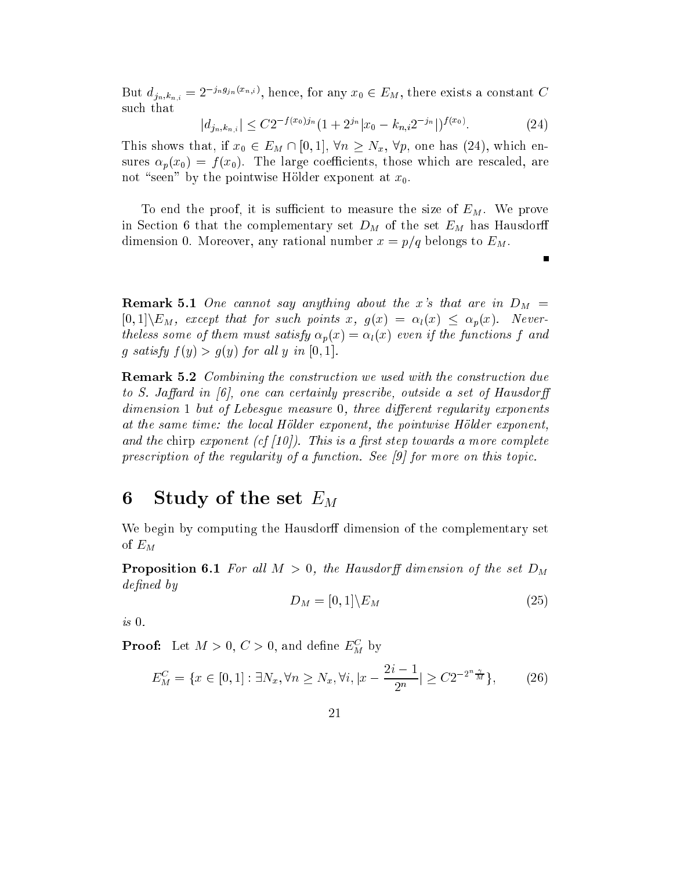But  $a_{j_n,k_{n,i}} = 2^{-\sum s_j n_j k_{n,i}}$ , hence, for any  $x_0 \in E_M$ , there exists a constant C su
h that

$$
|d_{j_n,k_{n,i}}| \le C2^{-f(x_0)j_n} \left(1 + 2^{j_n}|x_0 - k_{n,i}2^{-j_n}|\right)^{f(x_0)}.
$$
 (24)

This shows that, if x0 <sup>2</sup> EM \ [0; 1℄, 8n Nx, 8p, one has (24), whi
h ensures  $\alpha_p(x_0) = f(x_0)$ . The large coefficients, those which are rescaled, are not "seen" by the pointwise Hölder exponent at  $x_0$ .

To end the proof, it is sufficient to measure the size of  $E_M$ . We prove in Se
tion 6 that the omplementary set DM of the set EM has Hausdor dimension 0. Moreover, any rational number  $x = p/q$  belongs to  $E_M$ .

**Remark 5.1** One cannot say anything about the x's that are in  $D_M$  =  $[0,1]\backslash E_M$ , except that for such points x,  $g(x) = \alpha_l(x) \leq \alpha_p(x)$ . Neverthe less some of them must satisfy  $\alpha_p(x) = \alpha_l(x)$  even if the functions f and g satisfy f (gf c g(gf for all give port all  $\sim$ 

**Remark 5.2** Combining the construction we used with the construction due to S. Jaffard in  $[6]$ , one can certainly prescribe, outside a set of Hausdorff  $dimension\ 1\ but\ of\ Lebesgue\ measure\ 0,\ three\ different\ regularity\ exponents$ at the same time: the lo
al Holder exponent, the pointwise Holder exponent, and the chirp exponent (cf  $(10)$ ). This is a first step towards a more complete prescription of the regularity of a function. See  $\beta$  for more on this topic.

#### Study of the set  $E_M$ 6

We begin by computing the Hausdorff dimension of the complementary set of  $E_M$ 

**Proposition 6.1** For all  $M > 0$ , the Hausdorff dimension of the set  $D_M$ defined by

$$
D_M = [0,1] \backslash E_M \tag{25}
$$

is 0.

**Proof:** Let  $M > 0, C > 0$ , and denne  $E_M^{\top}$  by

$$
E_M^C = \{ x \in [0, 1] : \exists N_x, \forall n \ge N_x, \forall i, |x - \frac{2i - 1}{2^n}| \ge C2^{-2^n \frac{\gamma}{M}} \},\qquad(26)
$$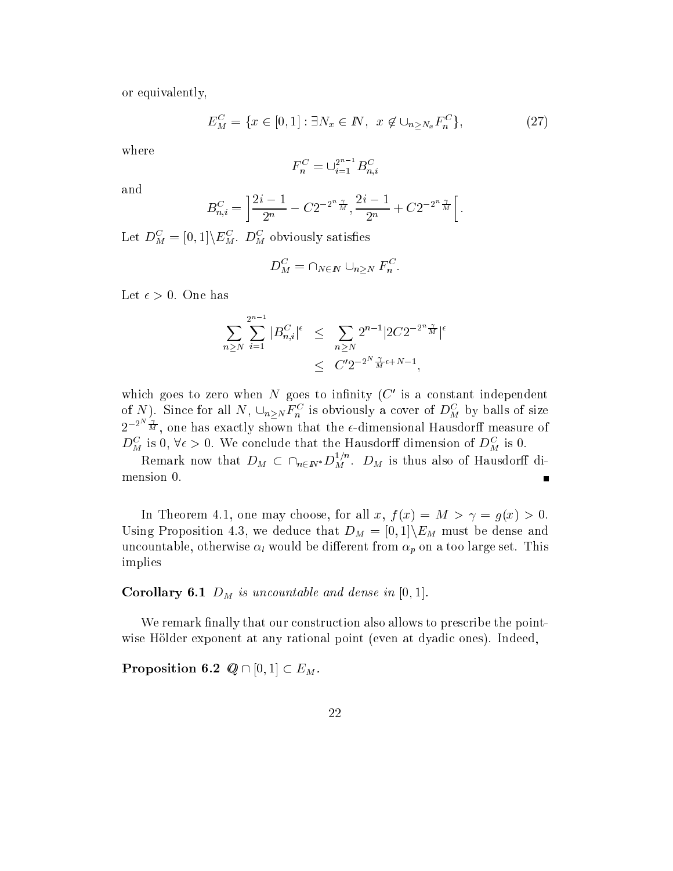or equivalently,

$$
E_M^C = \{ x \in [0, 1] : \exists N_x \in \mathbb{N}, \ x \notin \cup_{n \ge N_x} F_n^C \},\tag{27}
$$

where

$$
F_n^C = \bigcup_{i=1}^{2^{n-1}} B_{n,i}^C
$$

and

$$
B_{n,i}^C = \left[ \frac{2i-1}{2^n} - C2^{-2^n \frac{\gamma}{M}}, \frac{2i-1}{2^n} + C2^{-2^n \frac{\gamma}{M}} \right[.
$$

Let  $D_M^{\perp} \equiv [0,1] \setminus E_M^{\perp}$ .  $D_M^{\perp}$  obviously satisfies

$$
D_M^C = \cap_{N \in I\!\!N} \cup_{n \geq N} F_n^C
$$

Let  $\epsilon > 0$ . One has

$$
\sum_{n\geq N} \sum_{i=1}^{2^{n-1}} |B_{n,i}^C|^{\epsilon} \leq \sum_{n\geq N} 2^{n-1} |2C2^{-2^n \frac{\gamma}{M}}|^{\epsilon}
$$
  

$$
\leq C' 2^{-2^N \frac{\gamma}{M} \epsilon + N - 1},
$$

which goes to zero when *i*v goes to infinity ( $\cup$  is a constant independent of *N*). Since for all *N*,  $\cup_{n\geq N} F_n^*$  is obviously a cover of  $D_M^*$  by balls of size  $2^{-2a}$   $\pi$ , one has exactly shown that the e-dimensional Hausdorff measure of  $D_M$  is 0, ve  $>$  0. We conclude that the Hausdorn dimension of  $D_M$  is 0.

Remark now that  $D_M \subset \cap_{n \in I\!\!N^*} D_M$  .  $D_M$  is thus also of Hausdorff dimension 0.

In Theorem 4.1, one may choose, for all x,  $f(x) = M > \gamma = g(x) > 0$ . USING PROPOSITION 4.3, WE deducted that DM  $\mu$  and  $\mu$  and  $\mu$  and dense and dense and  $\mathbf v$ und be die rwise laat bedroom p on a too large set. This is different from p on a too large set. This is different from p on a too large set. This is different from p on a too large set. This is different from p on implies

our corollary from the and dense in formulation in formulation  $\mathcal{C}$ 

We remark finally that our construction also allows to prescribe the pointwise Hölder exponent at any rational point (even at dyadic ones). Indeed,

 $P$  -  $P$  -  $P$  -  $P$  -  $P$  -  $P$  .  $P$   $\vdots$   $P$   $\vdots$   $P$   $\vdots$   $P$   $\vdots$   $P$   $\vdots$   $P$   $\vdots$   $P$   $\vdots$   $P$   $\vdots$   $P$   $\vdots$   $P$   $\vdots$   $P$   $\vdots$   $P$   $\vdots$   $P$   $\vdots$   $P$   $\vdots$   $P$   $\vdots$   $P$   $\vdots$   $P$   $\vdots$   $P$   $\vdots$   $P$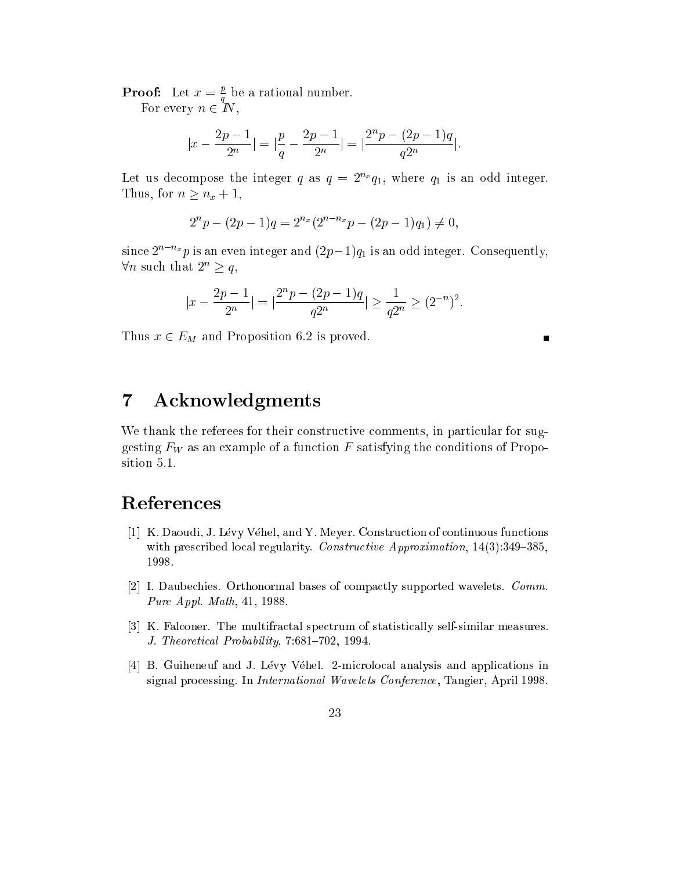**Proof:** Let  $x = \frac{1}{2}$  be a rational number.

 $\mathbf{r}$ 

For every <sup>n</sup> <sup>2</sup> IN,

$$
|x - \frac{2p - 1}{2^n}| = |\frac{p}{q} - \frac{2p - 1}{2^n}| = |\frac{2^n p - (2p - 1)q}{q^{2^n}}|.
$$

Let us decompose the integer q as  $q = 2^{n_x}q_1$ , where  $q_1$  is an odd integer.  $T = T$  . Thus, for  $T = T$  ,  $T = T$  ,  $T = T$ 

$$
2^{n}p - (2p - 1)q = 2^{n_x}(2^{n - n_x}p - (2p - 1)q_1) \neq 0,
$$

since  $2^{n-m}p$  is an even integer and  $(2p-1)q_1$  is an odd integer. Consequently,  $\forall n$  such that  $2 \geq q$ ,

 $\blacksquare$ 

$$
|x-\frac{2p-1}{2^n}|=|\frac{2^np-(2p-1)q}{q2^n}|\geq \frac{1}{q2^n}\geq (2^{-n})^2
$$

Thus x 2  $\equiv$   $\frac{1}{M}$  and Proposition 6.2 is proved. We can expect the proposition  $\frac{1}{M}$ 

# 7 A
knowledgments

We thank the referees for their constructive comments, in particular for suggesting FW as an example of a function function  $\alpha$  and the contract of Proposition 5.1.

# **References**

- [1] K. Daoudi, J. Lévy Véhel, and Y. Meyer. Construction of continuous functions with prescribed local regularity. Constructive Approximation, 14(3):349-385, 1998.
- [2] I. Daubechies. Orthonormal bases of compactly supported wavelets. Comm. Pure Appl. Math, 41, 1988.
- [3] K. Falconer. The multifractal spectrum of statistically self-similar measures. J. Theoretical Probability, 7:681-702, 1994.
- [4] B. Guiheneuf and J. Lévy Véhel. 2-microlocal analysis and applications in signal processing. In *International Wavelets Conference*, Tangier, April 1998.